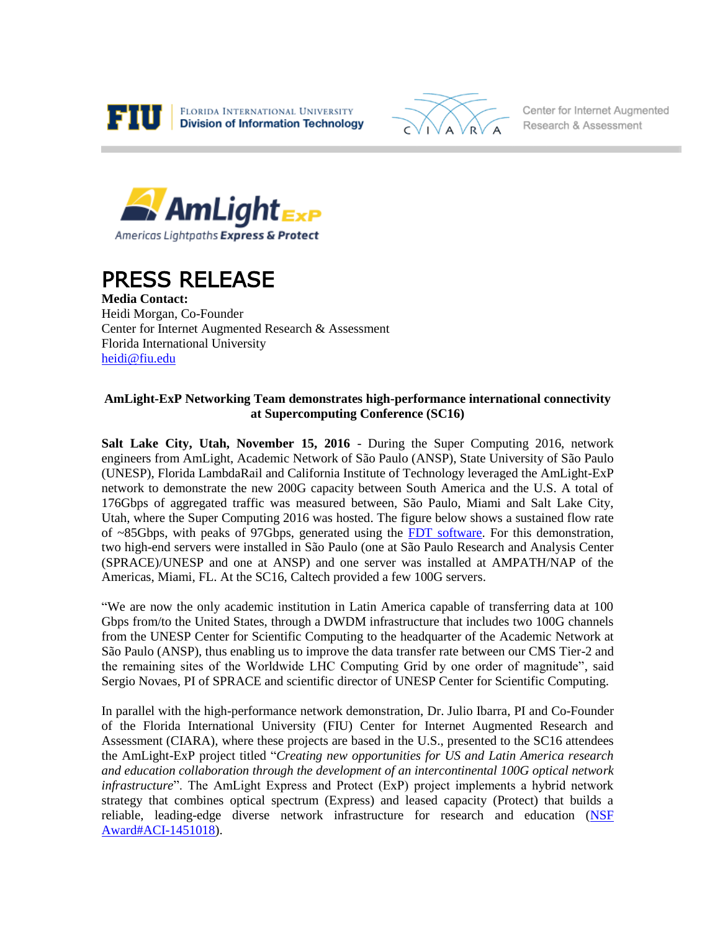



Center for Internet Augmented Research & Assessment



## PRESS RELEASE

**Media Contact:** Heidi Morgan, Co-Founder Center for Internet Augmented Research & Assessment Florida International University [heidi@fiu.edu](mailto:heidi@fiu.edu)

## **AmLight-ExP Networking Team demonstrates high-performance international connectivity at Supercomputing Conference (SC16)**

**Salt Lake City, Utah, November 15, 2016** - During the Super Computing 2016, network engineers from AmLight, Academic Network of São Paulo (ANSP), State University of São Paulo (UNESP), Florida LambdaRail and California Institute of Technology leveraged the AmLight-ExP network to demonstrate the new 200G capacity between South America and the U.S. A total of 176Gbps of aggregated traffic was measured between, São Paulo, Miami and Salt Lake City, Utah, where the Super Computing 2016 was hosted. The figure below shows a sustained flow rate of ~85Gbps, with peaks of 97Gbps, generated using the [FDT software.](http://monalisa.caltech.edu/FDT/) For this demonstration, two high-end servers were installed in São Paulo (one at São Paulo Research and Analysis Center (SPRACE)/UNESP and one at ANSP) and one server was installed at AMPATH/NAP of the Americas, Miami, FL. At the SC16, Caltech provided a few 100G servers.

"We are now the only academic institution in Latin America capable of transferring data at 100 Gbps from/to the United States, through a DWDM infrastructure that includes two 100G channels from the UNESP Center for Scientific Computing to the headquarter of the Academic Network at São Paulo (ANSP), thus enabling us to improve the data transfer rate between our CMS Tier-2 and the remaining sites of the Worldwide LHC Computing Grid by one order of magnitude", said Sergio Novaes, PI of SPRACE and scientific director of UNESP Center for Scientific Computing.

In parallel with the high-performance network demonstration, Dr. Julio Ibarra, PI and Co-Founder of the Florida International University (FIU) Center for Internet Augmented Research and Assessment (CIARA), where these projects are based in the U.S., presented to the SC16 attendees the AmLight-ExP project titled "*Creating new opportunities for US and Latin America research and education collaboration through the development of an intercontinental 100G optical network infrastructure*". The AmLight Express and Protect (ExP) project implements a hybrid network strategy that combines optical spectrum (Express) and leased capacity (Protect) that builds a reliable, leading-edge diverse network infrastructure for research and education [\(NSF](https://nsf.gov/awardsearch/showAward?AWD_ID=1451018&HistoricalAwards=false)  [Award#ACI-1451018\)](https://nsf.gov/awardsearch/showAward?AWD_ID=1451018&HistoricalAwards=false).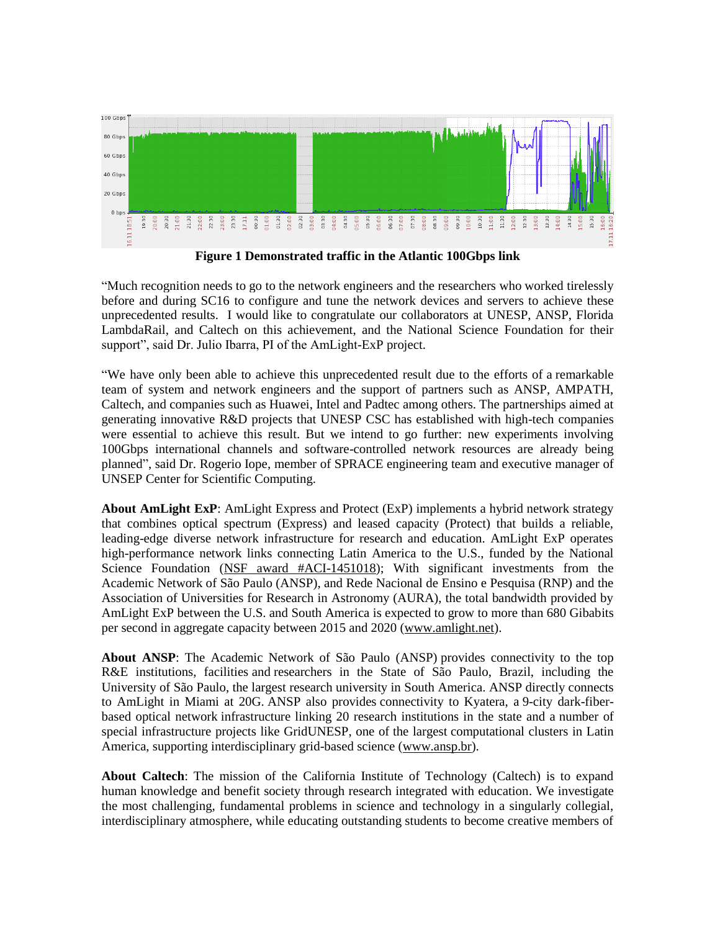

**Figure 1 Demonstrated traffic in the Atlantic 100Gbps link**

"Much recognition needs to go to the network engineers and the researchers who worked tirelessly before and during SC16 to configure and tune the network devices and servers to achieve these unprecedented results. I would like to congratulate our collaborators at UNESP, ANSP, Florida LambdaRail, and Caltech on this achievement, and the National Science Foundation for their support", said Dr. Julio Ibarra, PI of the AmLight-ExP project.

"We have only been able to achieve this unprecedented result due to the efforts of a remarkable team of system and network engineers and the support of partners such as ANSP, AMPATH, Caltech, and companies such as Huawei, Intel and Padtec among others. The partnerships aimed at generating innovative R&D projects that UNESP CSC has established with high-tech companies were essential to achieve this result. But we intend to go further: new experiments involving 100Gbps international channels and software-controlled network resources are already being planned", said Dr. Rogerio Iope, member of SPRACE engineering team and executive manager of UNSEP Center for Scientific Computing.

**About AmLight ExP**: AmLight Express and Protect (ExP) implements a hybrid network strategy that combines optical spectrum (Express) and leased capacity (Protect) that builds a reliable, leading-edge diverse network infrastructure for research and education. AmLight ExP operates high-performance network links connecting Latin America to the U.S., funded by the National Science Foundation (NSF [award #ACI-1451018\)](https://nsf.gov/awardsearch/showAward?AWD_ID=1451018&HistoricalAwards=false); With significant investments from the Academic Network of São Paulo (ANSP), and Rede Nacional de Ensino e Pesquisa (RNP) and the Association of Universities for Research in Astronomy (AURA), the total bandwidth provided by AmLight ExP between the U.S. and South America is expected to grow to more than 680 Gibabits per second in aggregate capacity between 2015 and 2020 [\(www.amlight.net\)](http://www.amlight.net/).

**About ANSP**: The Academic Network of São Paulo (ANSP) provides connectivity to the top R&E institutions, facilities and researchers in the State of São Paulo, Brazil, including the University of São Paulo, the largest research university in South America. ANSP directly connects to AmLight in Miami at 20G. ANSP also provides connectivity to Kyatera, a 9-city dark-fiberbased optical network infrastructure linking 20 research institutions in the state and a number of special infrastructure projects like GridUNESP, one of the largest computational clusters in Latin America, supporting interdisciplinary grid-based science [\(www.ansp.br\)](http://ansp.br/index.php/us/).

**About Caltech**: The mission of the California Institute of Technology (Caltech) is to expand human knowledge and benefit society through research integrated with education. We investigate the most challenging, fundamental problems in science and technology in a singularly collegial, interdisciplinary atmosphere, while educating outstanding students to become creative members of